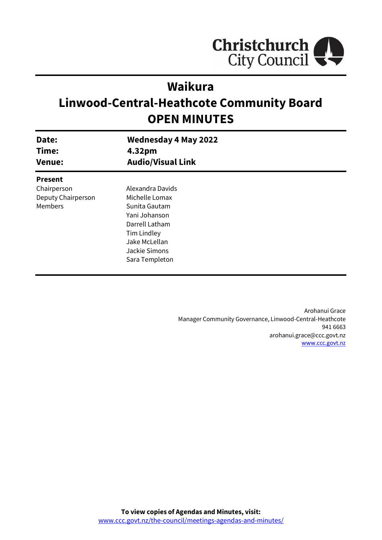

# **Waikura**

# **Linwood-Central-Heathcote Community Board OPEN MINUTES**

| Date:<br>Time:<br><b>Venue:</b> | <b>Wednesday 4 May 2022</b><br>4.32pm<br><b>Audio/Visual Link</b> |  |
|---------------------------------|-------------------------------------------------------------------|--|
| <b>Present</b>                  |                                                                   |  |
| Chairperson                     | Alexandra Davids                                                  |  |
| Deputy Chairperson              | Michelle Lomax                                                    |  |
| Members                         | Sunita Gautam                                                     |  |
|                                 | Yani Johanson                                                     |  |
|                                 | Darrell Latham                                                    |  |
|                                 | Tim Lindley                                                       |  |
|                                 | Jake McLellan                                                     |  |
|                                 | Jackie Simons                                                     |  |
|                                 | Sara Templeton                                                    |  |
|                                 |                                                                   |  |

Arohanui Grace Manager Community Governance, Linwood-Central-Heathcote 941 6663 arohanui.grace@ccc.govt.nz [www.ccc.govt.nz](http://www.ccc.govt.nz/)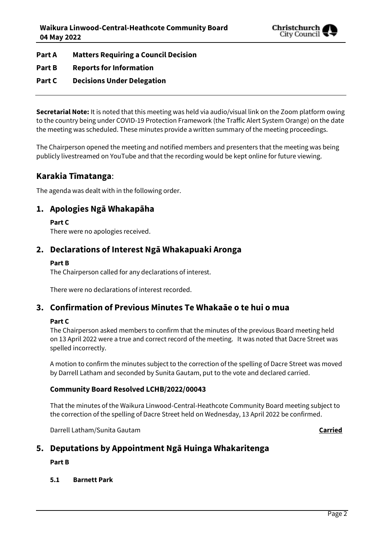

**Part A Matters Requiring a Council Decision**

- **Part B Reports for Information**
- **Part C Decisions Under Delegation**

**Secretarial Note:** It is noted that this meeting was held via audio/visual link on the Zoom platform owing to the country being under COVID-19 Protection Framework (the Traffic Alert System Orange) on the date the meeting was scheduled. These minutes provide a written summary of the meeting proceedings.

The Chairperson opened the meeting and notified members and presenters that the meeting was being publicly livestreamed on YouTube and that the recording would be kept online for future viewing.

## **Karakia Tīmatanga**:

The agenda was dealt with in the following order.

## **1. Apologies Ngā Whakapāha**

#### **Part C**

There were no apologies received.

## **2. Declarations of Interest Ngā Whakapuaki Aronga**

#### **Part B**

The Chairperson called for any declarations of interest.

There were no declarations of interest recorded.

## **3. Confirmation of Previous Minutes Te Whakaāe o te hui o mua**

### **Part C**

The Chairperson asked members to confirm that the minutes of the previous Board meeting held on 13 April 2022 were a true and correct record of the meeting. It was noted that Dacre Street was spelled incorrectly.

A motion to confirm the minutes subject to the correction of the spelling of Dacre Street was moved by Darrell Latham and seconded by Sunita Gautam, put to the vote and declared carried.

### **Community Board Resolved LCHB/2022/00043**

That the minutes of the Waikura Linwood-Central-Heathcote Community Board meeting subject to the correction of the spelling of Dacre Street held on Wednesday, 13 April 2022 be confirmed.

Darrell Latham/Sunita Gautam **Carried**

## **5. Deputations by Appointment Ngā Huinga Whakaritenga**

### **Part B**

### **5.1 Barnett Park**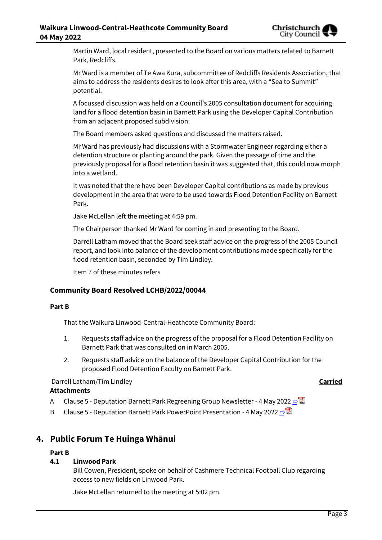

Martin Ward, local resident, presented to the Board on various matters related to Barnett Park, Redcliffs.

Mr Ward is a member of Te Awa Kura, subcommittee of Redcliffs Residents Association, that aims to address the residents desires to look after this area, with a "Sea to Summit" potential.

A focussed discussion was held on a Council's 2005 consultation document for acquiring land for a flood detention basin in Barnett Park using the Developer Capital Contribution from an adjacent proposed subdivision.

The Board members asked questions and discussed the matters raised.

Mr Ward has previously had discussions with a Stormwater Engineer regarding either a detention structure or planting around the park. Given the passage of time and the previously proposal for a flood retention basin it was suggested that, this could now morph into a wetland.

It was noted that there have been Developer Capital contributions as made by previous development in the area that were to be used towards Flood Detention Facility on Barnett Park.

Jake McLellan left the meeting at 4:59 pm.

The Chairperson thanked Mr Ward for coming in and presenting to the Board.

Darrell Latham moved that the Board seek staff advice on the progress of the 2005 Council report, and look into balance of the development contributions made specifically for the flood retention basin, seconded by Tim Lindley.

Item 7 of these minutes refers

## **Community Board Resolved LCHB/2022/00044**

#### **Part B**

That the Waikura Linwood-Central-Heathcote Community Board:

- 1. Requests staff advice on the progress of the proposal for a Flood Detention Facility on Barnett Park that was consulted on in March 2005.
- 2. Requests staff advice on the balance of the Developer Capital Contribution for the proposed Flood Detention Faculty on Barnett Park.

### Darrell Latham/Tim Lindley **Carried**

### **Attachments**

- A Clause 5 Deputation Barnett Park Regreening Group Newsletter 4 May 2022 [⇨](../../../RedirectToInvalidFileName.aspx?FileName=LCHB_20220504_MAT_7605.PDF#PAGE=1)
- B Clause 5 Deputation Barnett Park PowerPoint Presentation 4 May 2022 [⇨](../../../RedirectToInvalidFileName.aspx?FileName=LCHB_20220504_MAT_7605.PDF#PAGE=1)

## **4. Public Forum Te Huinga Whānui**

### **Part B**

### **4.1 Linwood Park**

Bill Cowen, President, spoke on behalf of Cashmere Technical Football Club regarding access to new fields on Linwood Park.

Jake McLellan returned to the meeting at 5:02 pm.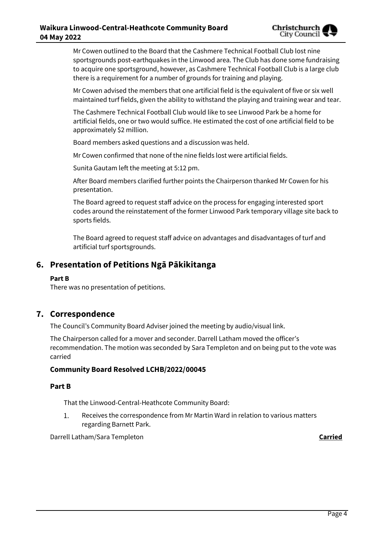Mr Cowen outlined to the Board that the Cashmere Technical Football Club lost nine sportsgrounds post-earthquakes in the Linwood area. The Club has done some fundraising to acquire one sportsground, however, as Cashmere Technical Football Club is a large club there is a requirement for a number of grounds for training and playing.

Mr Cowen advised the members that one artificial field is the equivalent of five or six well maintained turf fields, given the ability to withstand the playing and training wear and tear.

The Cashmere Technical Football Club would like to see Linwood Park be a home for artificial fields, one or two would suffice. He estimated the cost of one artificial field to be approximately \$2 million.

Board members asked questions and a discussion was held.

Mr Cowen confirmed that none of the nine fields lost were artificial fields.

Sunita Gautam left the meeting at 5:12 pm.

After Board members clarified further points the Chairperson thanked Mr Cowen for his presentation.

The Board agreed to request staff advice on the process for engaging interested sport codes around the reinstatement of the former Linwood Park temporary village site back to sports fields.

The Board agreed to request staff advice on advantages and disadvantages of turf and artificial turf sportsgrounds.

## **6. Presentation of Petitions Ngā Pākikitanga**

#### **Part B**

There was no presentation of petitions.

## **7. Correspondence**

The Council's Community Board Adviser joined the meeting by audio/visual link.

The Chairperson called for a mover and seconder. Darrell Latham moved the officer's recommendation. The motion was seconded by Sara Templeton and on being put to the vote was carried

#### **Community Board Resolved LCHB/2022/00045**

#### **Part B**

That the Linwood-Central-Heathcote Community Board:

Receives the correspondence from Mr Martin Ward in relation to various matters 1. regarding Barnett Park.

Darrell Latham/Sara Templeton **Carried**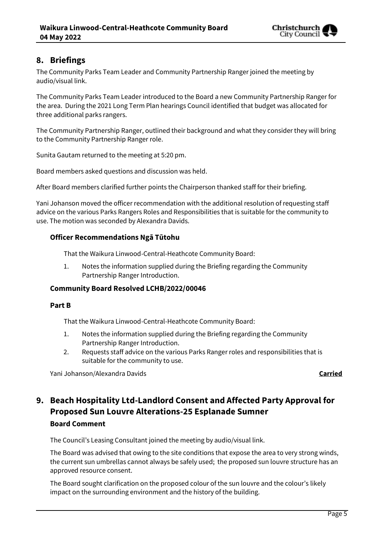

## **8. Briefings**

The Community Parks Team Leader and Community Partnership Ranger joined the meeting by audio/visual link.

The Community Parks Team Leader introduced to the Board a new Community Partnership Ranger for the area. During the 2021 Long Term Plan hearings Council identified that budget was allocated for three additional parks rangers.

The Community Partnership Ranger, outlined their background and what they consider they will bring to the Community Partnership Ranger role.

Sunita Gautam returned to the meeting at 5:20 pm.

Board members asked questions and discussion was held.

After Board members clarified further points the Chairperson thanked staff for their briefing.

Yani Johanson moved the officer recommendation with the additional resolution of requesting staff advice on the various Parks Rangers Roles and Responsibilities that is suitable for the community to use. The motion was seconded by Alexandra Davids.

#### **Officer Recommendations Ngā Tūtohu**

That the Waikura Linwood-Central-Heathcote Community Board:

1. Notes the information supplied during the Briefing regarding the Community Partnership Ranger Introduction.

### **Community Board Resolved LCHB/2022/00046**

#### **Part B**

That the Waikura Linwood-Central-Heathcote Community Board:

- 1. Notes the information supplied during the Briefing regarding the Community Partnership Ranger Introduction.
- 2. Requests staff advice on the various Parks Ranger roles and responsibilities that is suitable for the community to use.

Yani Johanson/Alexandra Davids **Carried**

## **9. Beach Hospitality Ltd-Landlord Consent and Affected Party Approval for Proposed Sun Louvre Alterations-25 Esplanade Sumner**

### **Board Comment**

The Council's Leasing Consultant joined the meeting by audio/visual link.

The Board was advised that owing to the site conditions that expose the area to very strong winds, the current sun umbrellas cannot always be safely used; the proposed sun louvre structure has an approved resource consent.

The Board sought clarification on the proposed colour of the sun louvre and the colour's likely impact on the surrounding environment and the history of the building.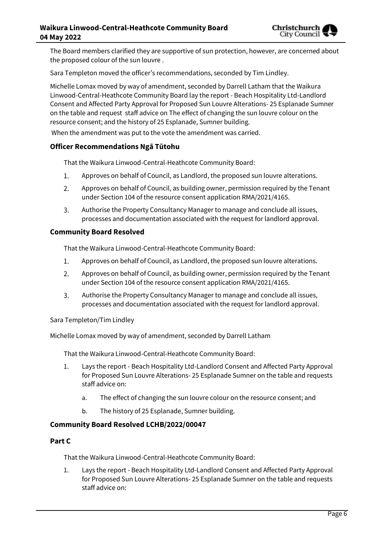

The Board members clarified they are supportive of sun protection, however, are concerned about the proposed colour of the sun louvre .

Sara Templeton moved the officer's recommendations, seconded by Tim Lindley.

Michelle Lomax moved by way of amendment, seconded by Darrell Latham that the Waikura Linwood-Central-Heathcote Community Board lay the report - Beach Hospitality Ltd-Landlord Consent and Affected Party Approval for Proposed Sun Louvre Alterations- 25 Esplanade Sumner on the table and request staff advice on The effect of changing the sun louvre colour on the resource consent; and the history of 25 Esplanade, Sumner building.

When the amendment was put to the vote the amendment was carried.

#### **Officer Recommendations Ngā Tūtohu**

That the Waikura Linwood-Central-Heathcote Community Board:

- Approves on behalf of Council, as Landlord, the proposed sun louvre alterations. 1.
- $2.$ Approves on behalf of Council, as building owner, permission required by the Tenant under Section 104 of the resource consent application RMA/2021/4165.
- 3. Authorise the Property Consultancy Manager to manage and conclude all issues, processes and documentation associated with the request for landlord approval.

#### **Community Board Resolved**

That the Waikura Linwood-Central-Heathcote Community Board:

- 1. Approves on behalf of Council, as Landlord, the proposed sun louvre alterations.
- $2.$ Approves on behalf of Council, as building owner, permission required by the Tenant under Section 104 of the resource consent application RMA/2021/4165.
- $\overline{3}$ . Authorise the Property Consultancy Manager to manage and conclude all issues, processes and documentation associated with the request for landlord approval.

#### Sara Templeton/Tim Lindley

Michelle Lomax moved by way of amendment, seconded by Darrell Latham

That the Waikura Linwood-Central-Heathcote Community Board:

- 1. Lays the report Beach Hospitality Ltd-Landlord Consent and Affected Party Approval for Proposed Sun Louvre Alterations- 25 Esplanade Sumner on the table and requests staff advice on:
	- a. The effect of changing the sun louvre colour on the resource consent; and
	- b. The history of 25 Esplanade, Sumner building.

#### **Community Board Resolved LCHB/2022/00047**

#### **Part C**

That the Waikura Linwood-Central-Heathcote Community Board:

1. Lays the report - Beach Hospitality Ltd-Landlord Consent and Affected Party Approval for Proposed Sun Louvre Alterations- 25 Esplanade Sumner on the table and requests staff advice on: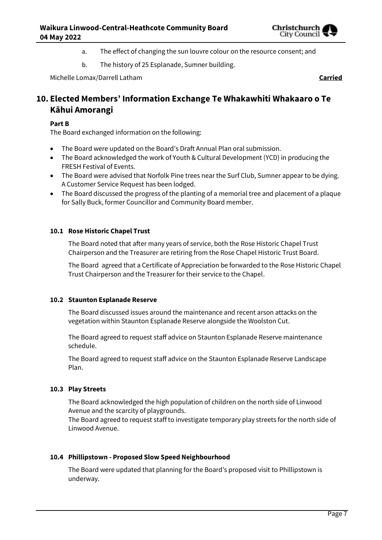

- a. The effect of changing the sun louvre colour on the resource consent; and
- b. The history of 25 Esplanade, Sumner building.

Michelle Lomax/Darrell Latham **Carried**

## **10. Elected Members' Information Exchange Te Whakawhiti Whakaaro o Te Kāhui Amorangi**

#### **Part B**

The Board exchanged information on the following:

- The Board were updated on the Board's Draft Annual Plan oral submission.
- The Board acknowledged the work of Youth & Cultural Development (YCD) in producing the FRESH Festival of Events.
- The Board were advised that Norfolk Pine trees near the Surf Club, Sumner appear to be dying. A Customer Service Request has been lodged.
- The Board discussed the progress of the planting of a memorial tree and placement of a plaque for Sally Buck, former Councillor and Community Board member.

#### **10.1 Rose Historic Chapel Trust**

The Board noted that after many years of service, both the Rose Historic Chapel Trust Chairperson and the Treasurer are retiring from the Rose Chapel Historic Trust Board.

The Board agreed that a Certificate of Appreciation be forwarded to the Rose Historic Chapel Trust Chairperson and the Treasurer for their service to the Chapel.

#### **10.2 Staunton Esplanade Reserve**

The Board discussed issues around the maintenance and recent arson attacks on the vegetation within Staunton Esplanade Reserve alongside the Woolston Cut.

The Board agreed to request staff advice on Staunton Esplanade Reserve maintenance schedule.

The Board agreed to request staff advice on the Staunton Esplanade Reserve Landscape Plan.

#### **10.3 Play Streets**

The Board acknowledged the high population of children on the north side of Linwood Avenue and the scarcity of playgrounds.

The Board agreed to request staff to investigate temporary play streets for the north side of Linwood Avenue.

### **10.4 Phillipstown - Proposed Slow Speed Neighbourhood**

The Board were updated that planning for the Board's proposed visit to Phillipstown is underway.